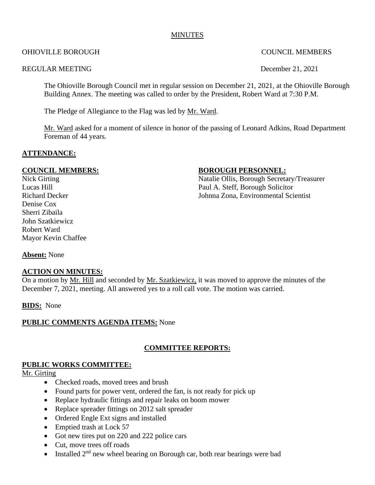#### MINUTES

#### OHIOVILLE BOROUGH COUNCIL MEMBERS

#### REGULAR MEETING December 21, 2021

The Ohioville Borough Council met in regular session on December 21, 2021, at the Ohioville Borough Building Annex. The meeting was called to order by the President, Robert Ward at 7:30 P.M.

The Pledge of Allegiance to the Flag was led by Mr. Ward.

Mr. Ward asked for a moment of silence in honor of the passing of Leonard Adkins, Road Department Foreman of 44 years.

#### **ATTENDANCE:**

Denise Cox Sherri Zibaila John Szatkiewicz Robert Ward Mayor Kevin Chaffee

#### **COUNCIL MEMBERS:** BOROUGH PERSONNEL:

Nick Girting Natalie Ollis, Borough Secretary/Treasurer Lucas Hill Paul A. Steff, Borough Solicitor Richard Decker Johnna Zona, Environmental Scientist

**Absent:** None

#### **ACTION ON MINUTES:**

On a motion by Mr. Hill and seconded by Mr. Szatkiewicz, it was moved to approve the minutes of the December 7, 2021, meeting. All answered yes to a roll call vote. The motion was carried.

**BIDS:** None

# **PUBLIC COMMENTS AGENDA ITEMS:** None

# **COMMITTEE REPORTS:**

#### **PUBLIC WORKS COMMITTEE:**

Mr. Girting

- Checked roads, moved trees and brush
- Found parts for power vent, ordered the fan, is not ready for pick up
- Replace hydraulic fittings and repair leaks on boom mower
- Replace spreader fittings on 2012 salt spreader
- Ordered Engle Ext signs and installed
- Emptied trash at Lock 57
- Got new tires put on 220 and 222 police cars
- Cut, move trees off roads
- Installed  $2<sup>nd</sup>$  new wheel bearing on Borough car, both rear bearings were bad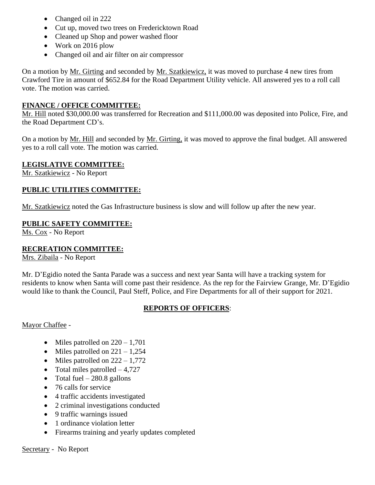- Changed oil in 222
- Cut up, moved two trees on Fredericktown Road
- Cleaned up Shop and power washed floor
- Work on 2016 plow
- Changed oil and air filter on air compressor

On a motion by Mr. Girting and seconded by Mr. Szatkiewicz, it was moved to purchase 4 new tires from Crawford Tire in amount of \$652.84 for the Road Department Utility vehicle. All answered yes to a roll call vote. The motion was carried.

#### **FINANCE / OFFICE COMMITTEE:**

Mr. Hill noted \$30,000.00 was transferred for Recreation and \$111,000.00 was deposited into Police, Fire, and the Road Department CD's.

On a motion by Mr. Hill and seconded by Mr. Girting, it was moved to approve the final budget. All answered yes to a roll call vote. The motion was carried.

# **LEGISLATIVE COMMITTEE:**

Mr. Szatkiewicz - No Report

# **PUBLIC UTILITIES COMMITTEE:**

Mr. Szatkiewicz noted the Gas Infrastructure business is slow and will follow up after the new year.

#### **PUBLIC SAFETY COMMITTEE:**

Ms. Cox - No Report

# **RECREATION COMMITTEE:**

Mrs. Zibaila - No Report

Mr. D'Egidio noted the Santa Parade was a success and next year Santa will have a tracking system for residents to know when Santa will come past their residence. As the rep for the Fairview Grange, Mr. D'Egidio would like to thank the Council, Paul Steff, Police, and Fire Departments for all of their support for 2021.

# **REPORTS OF OFFICERS**:

Mayor Chaffee -

- Miles patrolled on  $220 1,701$
- Miles patrolled on  $221 1,254$
- Miles patrolled on  $222 1,772$
- Total miles patrolled  $-4,727$
- Total fuel  $-280.8$  gallons
- 76 calls for service
- 4 traffic accidents investigated
- 2 criminal investigations conducted
- 9 traffic warnings issued
- 1 ordinance violation letter
- Firearms training and yearly updates completed

Secretary - No Report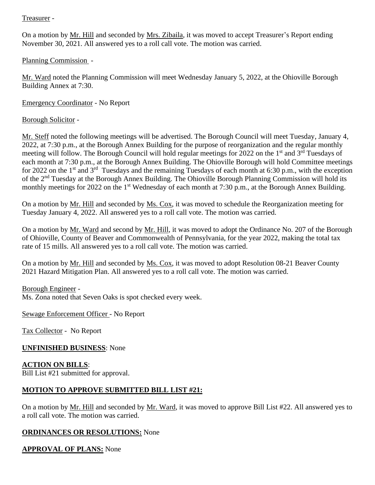### Treasurer -

On a motion by Mr. Hill and seconded by Mrs. Zibaila, it was moved to accept Treasurer's Report ending November 30, 2021. All answered yes to a roll call vote. The motion was carried.

Planning Commission -

Mr. Ward noted the Planning Commission will meet Wednesday January 5, 2022, at the Ohioville Borough Building Annex at 7:30.

Emergency Coordinator - No Report

# Borough Solicitor -

Mr. Steff noted the following meetings will be advertised. The Borough Council will meet Tuesday, January 4, 2022, at 7:30 p.m., at the Borough Annex Building for the purpose of reorganization and the regular monthly meeting will follow. The Borough Council will hold regular meetings for 2022 on the 1<sup>st</sup> and 3<sup>rd</sup> Tuesdays of each month at 7:30 p.m., at the Borough Annex Building. The Ohioville Borough will hold Committee meetings for 2022 on the 1<sup>st</sup> and 3<sup>rd</sup> Tuesdays and the remaining Tuesdays of each month at 6:30 p.m., with the exception of the 2nd Tuesday at the Borough Annex Building. The Ohioville Borough Planning Commission will hold its monthly meetings for 2022 on the 1<sup>st</sup> Wednesday of each month at 7:30 p.m., at the Borough Annex Building.

On a motion by Mr. Hill and seconded by Ms. Cox, it was moved to schedule the Reorganization meeting for Tuesday January 4, 2022. All answered yes to a roll call vote. The motion was carried.

On a motion by Mr. Ward and second by Mr. Hill, it was moved to adopt the Ordinance No. 207 of the Borough of Ohioville, County of Beaver and Commonwealth of Pennsylvania, for the year 2022, making the total tax rate of 15 mills. All answered yes to a roll call vote. The motion was carried.

On a motion by Mr. Hill and seconded by Ms. Cox, it was moved to adopt Resolution 08-21 Beaver County 2021 Hazard Mitigation Plan. All answered yes to a roll call vote. The motion was carried.

#### Borough Engineer -

Ms. Zona noted that Seven Oaks is spot checked every week.

Sewage Enforcement Officer - No Report

Tax Collector - No Report

# **UNFINISHED BUSINESS**: None

# **ACTION ON BILLS**:

Bill List #21 submitted for approval.

# **MOTION TO APPROVE SUBMITTED BILL LIST #21:**

On a motion by Mr. Hill and seconded by Mr. Ward, it was moved to approve Bill List #22. All answered yes to a roll call vote. The motion was carried.

# **ORDINANCES OR RESOLUTIONS:** None

# **APPROVAL OF PLANS:** None